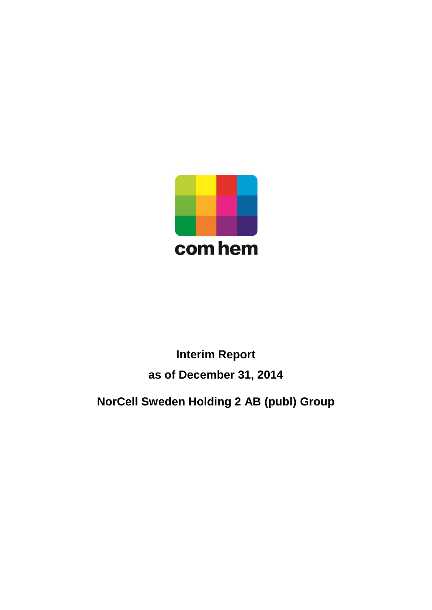

# **Interim Report as of December 31, 2014**

**NorCell Sweden Holding 2 AB (publ) Group**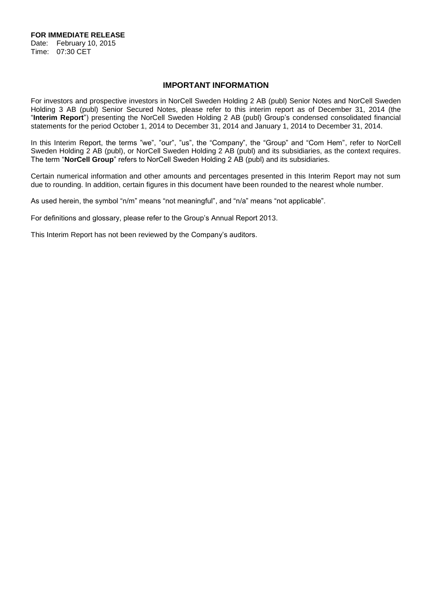**FOR IMMEDIATE RELEASE** Date: February 10, 2015

Time: 07:30 CET

# **IMPORTANT INFORMATION**

For investors and prospective investors in NorCell Sweden Holding 2 AB (publ) Senior Notes and NorCell Sweden Holding 3 AB (publ) Senior Secured Notes, please refer to this interim report as of December 31, 2014 (the "**Interim Report**") presenting the NorCell Sweden Holding 2 AB (publ) Group's condensed consolidated financial statements for the period October 1, 2014 to December 31, 2014 and January 1, 2014 to December 31, 2014.

In this Interim Report, the terms "we", "our", "us", the "Company", the "Group" and "Com Hem", refer to NorCell Sweden Holding 2 AB (publ), or NorCell Sweden Holding 2 AB (publ) and its subsidiaries, as the context requires. The term "**NorCell Group**" refers to NorCell Sweden Holding 2 AB (publ) and its subsidiaries.

Certain numerical information and other amounts and percentages presented in this Interim Report may not sum due to rounding. In addition, certain figures in this document have been rounded to the nearest whole number.

As used herein, the symbol "n/m" means "not meaningful", and "n/a" means "not applicable".

For definitions and glossary, please refer to the Group's Annual Report 2013.

This Interim Report has not been reviewed by the Company's auditors.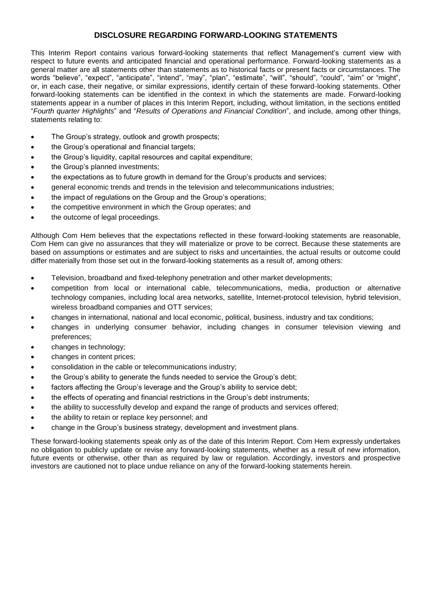# **DISCLOSURE REGARDING FORWARD-LOOKING STATEMENTS**

This Interim Report contains various forward-looking statements that reflect Management's current view with respect to future events and anticipated financial and operational performance. Forward-looking statements as a general matter are all statements other than statements as to historical facts or present facts or circumstances. The words "believe", "expect", "anticipate", "intend", "may", "plan", "estimate", "will", "should", "could", "aim" or "might", or, in each case, their negative, or similar expressions, identify certain of these forward-looking statements. Other forward-looking statements can be identified in the context in which the statements are made. Forward-looking statements appear in a number of places in this Interim Report, including, without limitation, in the sections entitled "*Fourth quarter Highlights*" and "*Results of Operations and Financial Condition*", and include, among other things, statements relating to:

- The Group's strategy, outlook and growth prospects;
- the Group's operational and financial targets;
- the Group's liquidity, capital resources and capital expenditure;
- the Group's planned investments;
- the expectations as to future growth in demand for the Group's products and services;
- general economic trends and trends in the television and telecommunications industries;
- the impact of regulations on the Group and the Group's operations;
- the competitive environment in which the Group operates; and
- the outcome of legal proceedings.

Although Com Hem believes that the expectations reflected in these forward-looking statements are reasonable, Com Hem can give no assurances that they will materialize or prove to be correct. Because these statements are based on assumptions or estimates and are subject to risks and uncertainties, the actual results or outcome could differ materially from those set out in the forward-looking statements as a result of, among others:

- Television, broadband and fixed-telephony penetration and other market developments;
- competition from local or international cable, telecommunications, media, production or alternative technology companies, including local area networks, satellite, Internet-protocol television, hybrid television, wireless broadband companies and OTT services;
- changes in international, national and local economic, political, business, industry and tax conditions;
- changes in underlying consumer behavior, including changes in consumer television viewing and preferences;
- changes in technology;
- changes in content prices;
- consolidation in the cable or telecommunications industry;
- the Group's ability to generate the funds needed to service the Group's debt;
- factors affecting the Group's leverage and the Group's ability to service debt;
- the effects of operating and financial restrictions in the Group's debt instruments;
- the ability to successfully develop and expand the range of products and services offered;
- the ability to retain or replace key personnel; and
- change in the Group's business strategy, development and investment plans.

These forward-looking statements speak only as of the date of this Interim Report. Com Hem expressly undertakes no obligation to publicly update or revise any forward-looking statements, whether as a result of new information, future events or otherwise, other than as required by law or regulation. Accordingly, investors and prospective investors are cautioned not to place undue reliance on any of the forward-looking statements herein.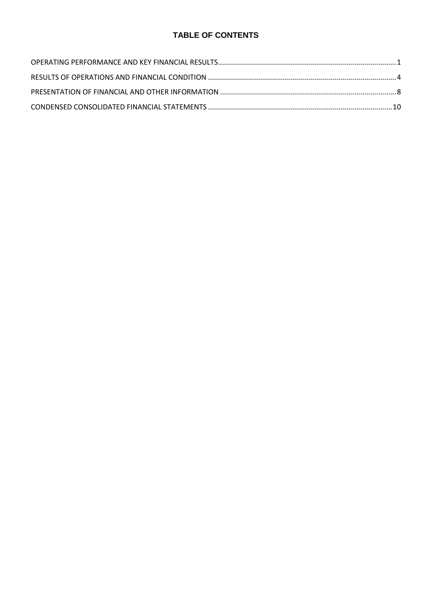# **TABLE OF CONTENTS**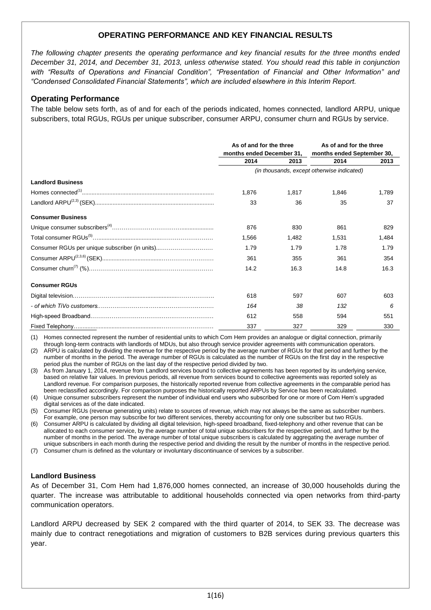# **OPERATING PERFORMANCE AND KEY FINANCIAL RESULTS**

*The following chapter presents the operating performance and key financial results for the three months ended December 31, 2014, and December 31, 2013, unless otherwise stated. You should read this table in conjunction with "Results of Operations and Financial Condition", "Presentation of Financial and Other Information" and "Condensed Consolidated Financial Statements", which are included elsewhere in this Interim Report.* 

# **Operating Performance**

The table below sets forth, as of and for each of the periods indicated, homes connected, landlord ARPU, unique subscribers, total RGUs, RGUs per unique subscriber, consumer ARPU, consumer churn and RGUs by service.

|                                                | As of and for the three<br>months ended December 31, |       | As of and for the three<br>months ended September 30, |       |
|------------------------------------------------|------------------------------------------------------|-------|-------------------------------------------------------|-------|
|                                                | 2014                                                 | 2013  | 2014                                                  | 2013  |
|                                                |                                                      |       | (in thousands, except otherwise indicated)            |       |
| <b>Landlord Business</b>                       |                                                      |       |                                                       |       |
|                                                | 1,876                                                | 1.817 | 1,846                                                 | 1,789 |
|                                                | 33                                                   | 36    | 35                                                    | 37    |
| <b>Consumer Business</b>                       |                                                      |       |                                                       |       |
|                                                | 876                                                  | 830   | 861                                                   | 829   |
|                                                | 1.566                                                | 1.482 | 1.531                                                 | 1.484 |
| Consumer RGUs per unique subscriber (in units) | 1.79                                                 | 1.79  | 1.78                                                  | 1.79  |
|                                                | 361                                                  | 355   | 361                                                   | 354   |
|                                                | 14.2                                                 | 16.3  | 14.8                                                  | 16.3  |
| <b>Consumer RGUs</b>                           |                                                      |       |                                                       |       |
|                                                | 618                                                  | 597   | 607                                                   | 603   |
|                                                | 164                                                  | 38    | 132                                                   | 6     |
|                                                | 612                                                  | 558   | 594                                                   | 551   |
|                                                | 337                                                  | 327   | 329                                                   | 330   |

(1) Homes connected represent the number of residential units to which Com Hem provides an analogue or digital connection, primarily through long-term contracts with landlords of MDUs, but also through service provider agreements with communication operators.

(2) ARPU is calculated by dividing the revenue for the respective period by the average number of RGUs for that period and further by the number of months in the period. The average number of RGUs is calculated as the number of RGUs on the first day in the respective period plus the number of RGUs on the last day of the respective period divided by two.

- (3) As from January 1, 2014, revenue from Landlord services bound to collective agreements has been reported by its underlying service, based on relative fair values. In previous periods, all revenue from services bound to collective agreements was reported solely as Landlord revenue. For comparison purposes, the historically reported revenue from collective agreements in the comparable period has been reclassified accordingly. For comparison purposes the historically reported ARPUs by Service has been recalculated.
- (4) Unique consumer subscribers represent the number of individual end users who subscribed for one or more of Com Hem's upgraded digital services as of the date indicated.
- (5) Consumer RGUs (revenue generating units) relate to sources of revenue, which may not always be the same as subscriber numbers. For example, one person may subscribe for two different services, thereby accounting for only one subscriber but two RGUs.
- (6) Consumer ARPU is calculated by dividing all digital television, high-speed broadband, fixed-telephony and other revenue that can be allocated to each consumer service, by the average number of total unique subscribers for the respective period, and further by the number of months in the period. The average number of total unique subscribers is calculated by aggregating the average number of unique subscribers in each month during the respective period and dividing the result by the number of months in the respective period.

(7) Consumer churn is defined as the voluntary or involuntary discontinuance of services by a subscriber.

#### **Landlord Business**

As of December 31, Com Hem had 1,876,000 homes connected, an increase of 30,000 households during the quarter. The increase was attributable to additional households connected via open networks from third-party communication operators.

Landlord ARPU decreased by SEK 2 compared with the third quarter of 2014, to SEK 33. The decrease was mainly due to contract renegotiations and migration of customers to B2B services during previous quarters this year.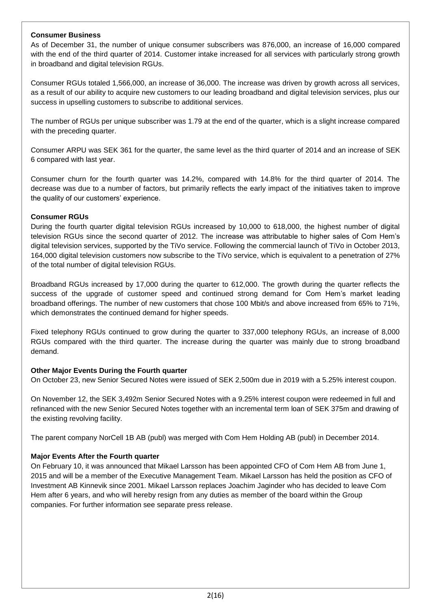#### **Consumer Business**

As of December 31, the number of unique consumer subscribers was 876,000, an increase of 16,000 compared with the end of the third quarter of 2014. Customer intake increased for all services with particularly strong growth in broadband and digital television RGUs.

Consumer RGUs totaled 1,566,000, an increase of 36,000. The increase was driven by growth across all services, as a result of our ability to acquire new customers to our leading broadband and digital television services, plus our success in upselling customers to subscribe to additional services.

The number of RGUs per unique subscriber was 1.79 at the end of the quarter, which is a slight increase compared with the preceding quarter.

Consumer ARPU was SEK 361 for the quarter, the same level as the third quarter of 2014 and an increase of SEK 6 compared with last year.

Consumer churn for the fourth quarter was 14.2%, compared with 14.8% for the third quarter of 2014. The decrease was due to a number of factors, but primarily reflects the early impact of the initiatives taken to improve the quality of our customers' experience.

#### **Consumer RGUs**

During the fourth quarter digital television RGUs increased by 10,000 to 618,000, the highest number of digital television RGUs since the second quarter of 2012. The increase was attributable to higher sales of Com Hem's digital television services, supported by the TiVo service. Following the commercial launch of TiVo in October 2013, 164,000 digital television customers now subscribe to the TiVo service, which is equivalent to a penetration of 27% of the total number of digital television RGUs.

Broadband RGUs increased by 17,000 during the quarter to 612,000. The growth during the quarter reflects the success of the upgrade of customer speed and continued strong demand for Com Hem's market leading broadband offerings. The number of new customers that chose 100 Mbit/s and above increased from 65% to 71%, which demonstrates the continued demand for higher speeds.

Fixed telephony RGUs continued to grow during the quarter to 337,000 telephony RGUs, an increase of 8,000 RGUs compared with the third quarter. The increase during the quarter was mainly due to strong broadband demand.

#### **Other Major Events During the Fourth quarter**

On October 23, new Senior Secured Notes were issued of SEK 2,500m due in 2019 with a 5.25% interest coupon.

On November 12, the SEK 3,492m Senior Secured Notes with a 9.25% interest coupon were redeemed in full and refinanced with the new Senior Secured Notes together with an incremental term loan of SEK 375m and drawing of the existing revolving facility.

The parent company NorCell 1B AB (publ) was merged with Com Hem Holding AB (publ) in December 2014.

#### **Major Events After the Fourth quarter**

On February 10, it was announced that Mikael Larsson has been appointed CFO of Com Hem AB from June 1, 2015 and will be a member of the Executive Management Team. Mikael Larsson has held the position as CFO of Investment AB Kinnevik since 2001. Mikael Larsson replaces Joachim Jaginder who has decided to leave Com Hem after 6 years, and who will hereby resign from any duties as member of the board within the Group companies. For further information see separate press release.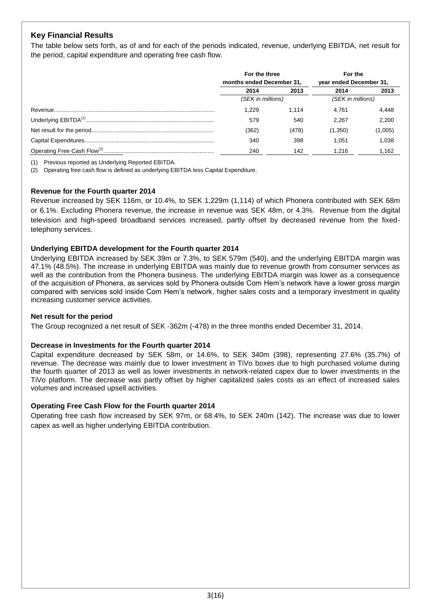# **Key Financial Results**

The table below sets forth, as of and for each of the periods indicated, revenue, underlying EBITDA, net result for the period, capital expenditure and operating free cash flow.

|       | For the three<br>months ended December 31, |         | For the                 |
|-------|--------------------------------------------|---------|-------------------------|
|       |                                            |         | year ended December 31, |
| 2014  | 2013                                       | 2014    | 2013                    |
|       | (SEK in millions)                          |         | (SEK in millions)       |
| 1.229 | 1.114                                      | 4.761   | 4,448                   |
| 579   | 540                                        | 2.267   | 2.200                   |
| (362) | (478)                                      | (1,350) | (1,005)                 |
| 340   | 398                                        | 1.051   | 1.038                   |
| 240   | 142                                        | 1.216   | 1,162                   |

(1) Previous reported as Underlying Reported EBITDA.

(2) Operating free cash flow is defined as underlying EBITDA less Capital Expenditure.

#### **Revenue for the Fourth quarter 2014**

Revenue increased by SEK 116m, or 10.4%, to SEK 1,229m (1,114) of which Phonera contributed with SEK 68m or 6.1%. Excluding Phonera revenue, the increase in revenue was SEK 48m, or 4.3%. Revenue from the digital television and high-speed broadband services increased, partly offset by decreased revenue from the fixedtelephony services.

#### **Underlying EBITDA development for the Fourth quarter 2014**

Underlying EBITDA increased by SEK 39m or 7.3%, to SEK 579m (540), and the underlying EBITDA margin was 47.1% (48.5%). The increase in underlying EBITDA was mainly due to revenue growth from consumer services as well as the contribution from the Phonera business. The underlying EBITDA margin was lower as a consequence of the acquisition of Phonera, as services sold by Phonera outside Com Hem's network have a lower gross margin compared with services sold inside Com Hem's network, higher sales costs and a temporary investment in quality increasing customer service activities.

#### **Net result for the period**

The Group recognized a net result of SEK -362m (-478) in the three months ended December 31, 2014.

#### **Decrease in Investments for the Fourth quarter 2014**

Capital expenditure decreased by SEK 58m, or 14.6%, to SEK 340m (398), representing 27.6% (35.7%) of revenue. The decrease was mainly due to lower investment in TiVo boxes due to high purchased volume during the fourth quarter of 2013 as well as lower investments in network-related capex due to lower investments in the TiVo platform. The decrease was partly offset by higher capitalized sales costs as an effect of increased sales volumes and increased upsell activities.

#### **Operating Free Cash Flow for the Fourth quarter 2014**

Operating free cash flow increased by SEK 97m, or 68.4%, to SEK 240m (142). The increase was due to lower capex as well as higher underlying EBITDA contribution.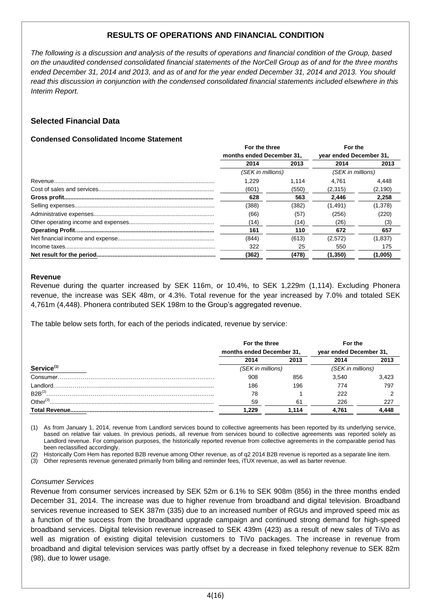# **RESULTS OF OPERATIONS AND FINANCIAL CONDITION**

*The following is a discussion and analysis of the results of operations and financial condition of the Group, based on the unaudited condensed consolidated financial statements of the NorCell Group as of and for the three months ended December 31, 2014 and 2013, and as of and for the year ended December 31, 2014 and 2013. You should read this discussion in conjunction with the condensed consolidated financial statements included elsewhere in this Interim Report.*

# **Selected Financial Data**

# **Condensed Consolidated Income Statement**

| For the three             |       | For the                 |         |
|---------------------------|-------|-------------------------|---------|
| months ended December 31. |       | year ended December 31, |         |
| 2014                      | 2013  | 2014                    | 2013    |
| (SEK in millions)         |       | (SEK in millions)       |         |
| 1.229                     | 1.114 | 4.761                   | 4.448   |
| (601)                     | (550) | (2.315)                 | (2,190) |
| 628                       | 563   | 2.446                   | 2.258   |
| (388)                     | (382) | (1, 491)                | (1,378) |
| (66)                      | (57)  | (256)                   | (220)   |
| (14)                      | (14)  | (26)                    | (3)     |
| 161                       | 110   | 672                     | 657     |
| (844)                     | (613) | (2,572)                 | (1,837) |
| 322                       | 25    | 550                     | 175     |
| (362)                     | (478) | (1,350)                 | (1,005) |

#### **Revenue**

Revenue during the quarter increased by SEK 116m, or 10.4%, to SEK 1,229m (1,114). Excluding Phonera revenue, the increase was SEK 48m, or 4.3%. Total revenue for the year increased by 7.0% and totaled SEK 4,761m (4,448). Phonera contributed SEK 198m to the Group's aggregated revenue.

The table below sets forth, for each of the periods indicated, revenue by service:

|                        | For the three<br>months ended December 31, |       | For the                 |       |
|------------------------|--------------------------------------------|-------|-------------------------|-------|
|                        |                                            |       | year ended December 31, |       |
|                        | 2014                                       | 2013  | 2014                    | 2013  |
| Service <sup>(1)</sup> | (SEK in millions)                          |       | (SEK in millions)       |       |
| Consumer               | 908                                        | 856   | 3.540                   | 3.423 |
| I andlord.             | 186                                        | 196   | 774                     | 797   |
| $B2B^{(2)}$            | 78                                         |       | 222                     |       |
| Other <sup>(3)</sup>   | 59                                         | 61    | 226                     | 227   |
|                        | .229                                       | 1.114 | 4.761                   | .448  |

(1) As from January 1, 2014, revenue from Landlord services bound to collective agreements has been reported by its underlying service, based on relative fair values. In previous periods, all revenue from services bound to collective agreements was reported solely as Landlord revenue. For comparison purposes, the historically reported revenue from collective agreements in the comparable period has been reclassified accordingly.

(2) Historically Com Hem has reported B2B revenue among Other revenue, as of q2 2014 B2B revenue is reported as a separate line item.

(3) Other represents revenue generated primarily from billing and reminder fees, iTUX revenue, as well as barter revenue.

#### *Consumer Services*

Revenue from consumer services increased by SEK 52m or 6.1% to SEK 908m (856) in the three months ended December 31, 2014. The increase was due to higher revenue from broadband and digital television. Broadband services revenue increased to SEK 387m (335) due to an increased number of RGUs and improved speed mix as a function of the success from the broadband upgrade campaign and continued strong demand for high-speed broadband services. Digital television revenue increased to SEK 439m (423) as a result of new sales of TiVo as well as migration of existing digital television customers to TiVo packages. The increase in revenue from broadband and digital television services was partly offset by a decrease in fixed telephony revenue to SEK 82m (98), due to lower usage.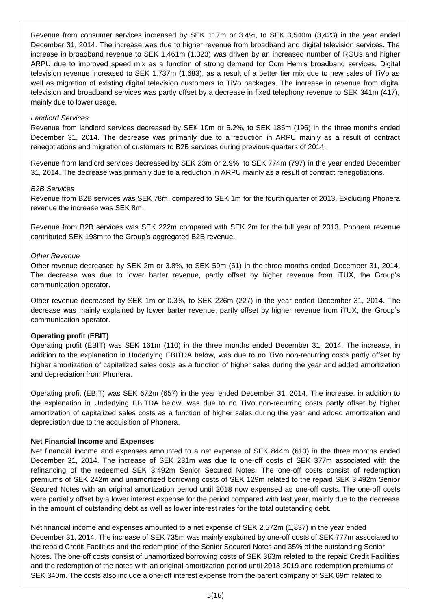Revenue from consumer services increased by SEK 117m or 3.4%, to SEK 3,540m (3,423) in the year ended December 31, 2014. The increase was due to higher revenue from broadband and digital television services. The increase in broadband revenue to SEK 1,461m (1,323) was driven by an increased number of RGUs and higher ARPU due to improved speed mix as a function of strong demand for Com Hem's broadband services. Digital television revenue increased to SEK 1,737m (1,683), as a result of a better tier mix due to new sales of TiVo as well as migration of existing digital television customers to TiVo packages. The increase in revenue from digital television and broadband services was partly offset by a decrease in fixed telephony revenue to SEK 341m (417), mainly due to lower usage.

#### *Landlord Services*

Revenue from landlord services decreased by SEK 10m or 5.2%, to SEK 186m (196) in the three months ended December 31, 2014. The decrease was primarily due to a reduction in ARPU mainly as a result of contract renegotiations and migration of customers to B2B services during previous quarters of 2014.

Revenue from landlord services decreased by SEK 23m or 2.9%, to SEK 774m (797) in the year ended December 31, 2014. The decrease was primarily due to a reduction in ARPU mainly as a result of contract renegotiations.

# *B2B Services*

Revenue from B2B services was SEK 78m, compared to SEK 1m for the fourth quarter of 2013. Excluding Phonera revenue the increase was SEK 8m.

Revenue from B2B services was SEK 222m compared with SEK 2m for the full year of 2013. Phonera revenue contributed SEK 198m to the Group's aggregated B2B revenue.

#### *Other Revenue*

Other revenue decreased by SEK 2m or 3.8%, to SEK 59m (61) in the three months ended December 31, 2014. The decrease was due to lower barter revenue, partly offset by higher revenue from iTUX, the Group's communication operator.

Other revenue decreased by SEK 1m or 0.3%, to SEK 226m (227) in the year ended December 31, 2014. The decrease was mainly explained by lower barter revenue, partly offset by higher revenue from iTUX, the Group's communication operator.

#### **Operating profit** (**EBIT)**

Operating profit (EBIT) was SEK 161m (110) in the three months ended December 31, 2014. The increase, in addition to the explanation in Underlying EBITDA below, was due to no TiVo non-recurring costs partly offset by higher amortization of capitalized sales costs as a function of higher sales during the year and added amortization and depreciation from Phonera.

Operating profit (EBIT) was SEK 672m (657) in the year ended December 31, 2014. The increase, in addition to the explanation in Underlying EBITDA below, was due to no TiVo non-recurring costs partly offset by higher amortization of capitalized sales costs as a function of higher sales during the year and added amortization and depreciation due to the acquisition of Phonera.

# **Net Financial Income and Expenses**

Net financial income and expenses amounted to a net expense of SEK 844m (613) in the three months ended December 31, 2014. The increase of SEK 231m was due to one-off costs of SEK 377m associated with the refinancing of the redeemed SEK 3,492m Senior Secured Notes. The one-off costs consist of redemption premiums of SEK 242m and unamortized borrowing costs of SEK 129m related to the repaid SEK 3,492m Senior Secured Notes with an original amortization period until 2018 now expensed as one-off costs. The one-off costs were partially offset by a lower interest expense for the period compared with last year, mainly due to the decrease in the amount of outstanding debt as well as lower interest rates for the total outstanding debt.

Net financial income and expenses amounted to a net expense of SEK 2,572m (1,837) in the year ended December 31, 2014. The increase of SEK 735m was mainly explained by one-off costs of SEK 777m associated to the repaid Credit Facilities and the redemption of the Senior Secured Notes and 35% of the outstanding Senior Notes. The one-off costs consist of unamortized borrowing costs of SEK 363m related to the repaid Credit Facilities and the redemption of the notes with an original amortization period until 2018-2019 and redemption premiums of SEK 340m. The costs also include a one-off interest expense from the parent company of SEK 69m related to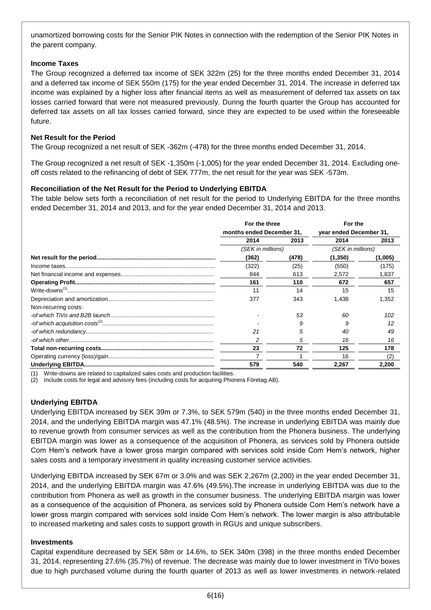unamortized borrowing costs for the Senior PIK Notes in connection with the redemption of the Senior PIK Notes in the parent company.

# **Income Taxes**

The Group recognized a deferred tax income of SEK 322m (25) for the three months ended December 31, 2014 and a deferred tax income of SEK 550m (175) for the year ended December 31, 2014. The increase in deferred tax income was explained by a higher loss after financial items as well as measurement of deferred tax assets on tax losses carried forward that were not measured previously. During the fourth quarter the Group has accounted for deferred tax assets on all tax losses carried forward, since they are expected to be used within the foreseeable future.

# **Net Result for the Period**

The Group recognized a net result of SEK -362m (-478) for the three months ended December 31, 2014.

The Group recognized a net result of SEK -1,350m (-1,005) for the year ended December 31, 2014. Excluding oneoff costs related to the refinancing of debt of SEK 777m, the net result for the year was SEK -573m.

# **Reconciliation of the Net Result for the Period to Underlying EBITDA**

The table below sets forth a reconciliation of net result for the period to Underlying EBITDA for the three months ended December 31, 2014 and 2013, and for the year ended December 31, 2014 and 2013.

|                      | For the three<br>months ended December 31, |       | For the                 |         |
|----------------------|--------------------------------------------|-------|-------------------------|---------|
|                      |                                            |       | year ended December 31, |         |
|                      | 2014                                       | 2013  | 2014                    | 2013    |
|                      | (SEK in millions)                          |       | (SEK in millions)       |         |
|                      | (362)                                      | (478) | (1,350)                 | (1,005) |
|                      | (322)                                      | (25)  | (550)                   | (175)   |
|                      | 844                                        | 613   | 2,572                   | 1,837   |
|                      | 161                                        | 110   | 672                     | 657     |
|                      | 11                                         | 14    | 15                      | 15      |
|                      | 377                                        | 343   | 1,438                   | 1,352   |
| Non-recurring costs: |                                            |       |                         |         |
|                      |                                            | 53    | 60                      | 102     |
|                      |                                            |       |                         | 12      |
|                      | 21                                         | 5     | 40                      | 49      |
|                      |                                            | 5     | 16                      | 16      |
|                      | 23                                         | 72    | 125                     | 178     |
|                      |                                            |       | 16                      | (2)     |
|                      | 579                                        | 540   | 2,267                   | 2,200   |

(1) Write-downs are related to capitalized sales costs and production facilities.

(2) Include costs for legal and advisory fees (including costs for acquiring Phonera Företag AB).

#### **Underlying EBITDA**

Underlying EBITDA increased by SEK 39m or 7.3%, to SEK 579m (540) in the three months ended December 31, 2014, and the underlying EBITDA margin was 47.1% (48.5%). The increase in underlying EBITDA was mainly due to revenue growth from consumer services as well as the contribution from the Phonera business. The underlying EBITDA margin was lower as a consequence of the acquisition of Phonera, as services sold by Phonera outside Com Hem's network have a lower gross margin compared with services sold inside Com Hem's network, higher sales costs and a temporary investment in quality increasing customer service activities.

Underlying EBITDA increased by SEK 67m or 3.0% and was SEK 2,267m (2,200) in the year ended December 31, 2014, and the underlying EBITDA margin was 47.6% (49.5%).The increase in underlying EBITDA was due to the contribution from Phonera as well as growth in the consumer business. The underlying EBITDA margin was lower as a consequence of the acquisition of Phonera, as services sold by Phonera outside Com Hem's network have a lower gross margin compared with services sold inside Com Hem's network. The lower margin is also attributable to increased marketing and sales costs to support growth in RGUs and unique subscribers.

#### **Investments**

Capital expenditure decreased by SEK 58m or 14.6%, to SEK 340m (398) in the three months ended December 31, 2014, representing 27.6% (35.7%) of revenue. The decrease was mainly due to lower investment in TiVo boxes due to high purchased volume during the fourth quarter of 2013 as well as lower investments in network-related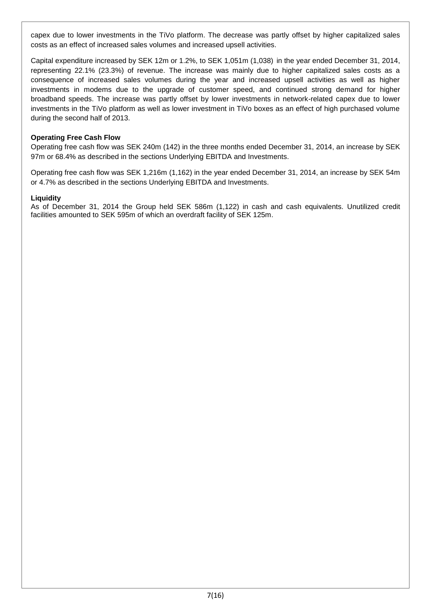capex due to lower investments in the TiVo platform. The decrease was partly offset by higher capitalized sales costs as an effect of increased sales volumes and increased upsell activities.

Capital expenditure increased by SEK 12m or 1.2%, to SEK 1,051m (1,038) in the year ended December 31, 2014, representing 22.1% (23.3%) of revenue. The increase was mainly due to higher capitalized sales costs as a consequence of increased sales volumes during the year and increased upsell activities as well as higher investments in modems due to the upgrade of customer speed, and continued strong demand for higher broadband speeds. The increase was partly offset by lower investments in network-related capex due to lower investments in the TiVo platform as well as lower investment in TiVo boxes as an effect of high purchased volume during the second half of 2013.

### **Operating Free Cash Flow**

Operating free cash flow was SEK 240m (142) in the three months ended December 31, 2014, an increase by SEK 97m or 68.4% as described in the sections Underlying EBITDA and Investments.

Operating free cash flow was SEK 1,216m (1,162) in the year ended December 31, 2014, an increase by SEK 54m or 4.7% as described in the sections Underlying EBITDA and Investments.

#### **Liquidity**

As of December 31, 2014 the Group held SEK 586m (1,122) in cash and cash equivalents. Unutilized credit facilities amounted to SEK 595m of which an overdraft facility of SEK 125m.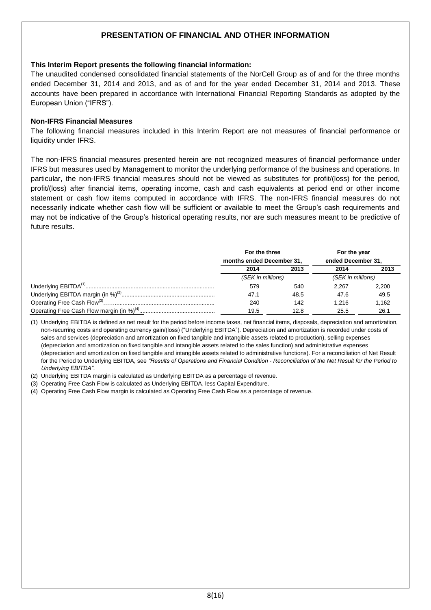# **PRESENTATION OF FINANCIAL AND OTHER INFORMATION**

#### **This Interim Report presents the following financial information:**

The unaudited condensed consolidated financial statements of the NorCell Group as of and for the three months ended December 31, 2014 and 2013, and as of and for the year ended December 31, 2014 and 2013. These accounts have been prepared in accordance with International Financial Reporting Standards as adopted by the European Union ("IFRS").

#### **Non-IFRS Financial Measures**

The following financial measures included in this Interim Report are not measures of financial performance or liquidity under IFRS.

The non-IFRS financial measures presented herein are not recognized measures of financial performance under IFRS but measures used by Management to monitor the underlying performance of the business and operations. In particular, the non-IFRS financial measures should not be viewed as substitutes for profit/(loss) for the period, profit/(loss) after financial items, operating income, cash and cash equivalents at period end or other income statement or cash flow items computed in accordance with IFRS. The non-IFRS financial measures do not necessarily indicate whether cash flow will be sufficient or available to meet the Group's cash requirements and may not be indicative of the Group's historical operating results, nor are such measures meant to be predictive of future results.

| For the three<br>months ended December 31, |      | For the year<br>ended December 31, |       |
|--------------------------------------------|------|------------------------------------|-------|
| 2014                                       | 2013 | 2014                               | 2013  |
| (SEK in millions)                          |      | (SEK in millions)                  |       |
| 579                                        | 540  | 2.267                              | 2.200 |
| 47.1                                       | 48.5 | 47.6                               | 49.5  |
| 240                                        | 142  | 1.216                              | 1.162 |
| 19.5                                       | 12.8 | 25.5                               | 26.1  |

(1) Underlying EBITDA is defined as net result for the period before income taxes, net financial items, disposals, depreciation and amortization, non-recurring costs and operating currency gain/(loss) ("Underlying EBITDA"). Depreciation and amortization is recorded under costs of sales and services (depreciation and amortization on fixed tangible and intangible assets related to production), selling expenses (depreciation and amortization on fixed tangible and intangible assets related to the sales function) and administrative expenses (depreciation and amortization on fixed tangible and intangible assets related to administrative functions). For a reconciliation of Net Result for the Period to Underlying EBITDA, see *"Results of Operations and Financial Condition* - *Reconciliation of the Net Result for the Period to Underlying EBITDA"*.

(2) Underlying EBITDA margin is calculated as Underlying EBITDA as a percentage of revenue.

(3) Operating Free Cash Flow is calculated as Underlying EBITDA, less Capital Expenditure.

(4) Operating Free Cash Flow margin is calculated as Operating Free Cash Flow as a percentage of revenue.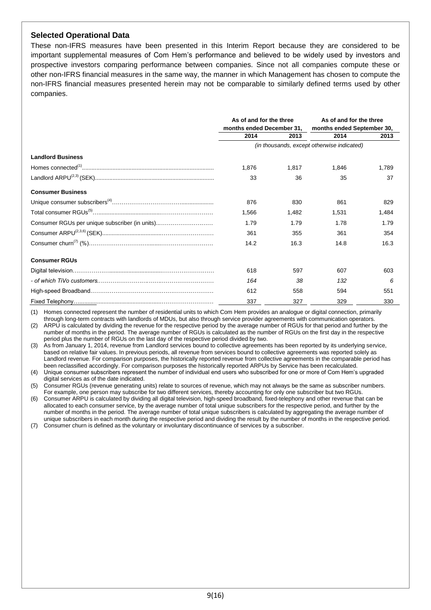# **Selected Operational Data**

These non-IFRS measures have been presented in this Interim Report because they are considered to be important supplemental measures of Com Hem's performance and believed to be widely used by investors and prospective investors comparing performance between companies. Since not all companies compute these or other non-IFRS financial measures in the same way, the manner in which Management has chosen to compute the non-IFRS financial measures presented herein may not be comparable to similarly defined terms used by other companies.

|                                                | As of and for the three   |       | As of and for the three                    |       |
|------------------------------------------------|---------------------------|-------|--------------------------------------------|-------|
|                                                | months ended December 31, |       | months ended September 30,                 |       |
|                                                | 2014                      | 2013  | 2014                                       | 2013  |
|                                                |                           |       | (in thousands, except otherwise indicated) |       |
| <b>Landlord Business</b>                       |                           |       |                                            |       |
|                                                | 1.876                     | 1.817 | 1,846                                      | 1,789 |
|                                                | 33                        | 36    | 35                                         | 37    |
| <b>Consumer Business</b>                       |                           |       |                                            |       |
|                                                | 876                       | 830   | 861                                        | 829   |
|                                                | 1.566                     | 1.482 | 1.531                                      | 1.484 |
| Consumer RGUs per unique subscriber (in units) | 1.79                      | 1.79  | 1.78                                       | 1.79  |
|                                                | 361                       | 355   | 361                                        | 354   |
|                                                | 14.2                      | 16.3  | 14.8                                       | 16.3  |
| <b>Consumer RGUs</b>                           |                           |       |                                            |       |
|                                                | 618                       | 597   | 607                                        | 603   |
|                                                | 164                       | 38    | 132                                        | 6     |
|                                                | 612                       | 558   | 594                                        | 551   |
|                                                | 337                       | 327   | 329                                        | 330   |

(1) Homes connected represent the number of residential units to which Com Hem provides an analogue or digital connection, primarily through long-term contracts with landlords of MDUs, but also through service provider agreements with communication operators.

(2) ARPU is calculated by dividing the revenue for the respective period by the average number of RGUs for that period and further by the number of months in the period. The average number of RGUs is calculated as the number of RGUs on the first day in the respective period plus the number of RGUs on the last day of the respective period divided by two.

(3) As from January 1, 2014, revenue from Landlord services bound to collective agreements has been reported by its underlying service, based on relative fair values. In previous periods, all revenue from services bound to collective agreements was reported solely as Landlord revenue. For comparison purposes, the historically reported revenue from collective agreements in the comparable period has been reclassified accordingly. For comparison purposes the historically reported ARPUs by Service has been recalculated.

(4) Unique consumer subscribers represent the number of individual end users who subscribed for one or more of Com Hem's upgraded digital services as of the date indicated.

(5) Consumer RGUs (revenue generating units) relate to sources of revenue, which may not always be the same as subscriber numbers. For example, one person may subscribe for two different services, thereby accounting for only one subscriber but two RGUs.

(6) Consumer ARPU is calculated by dividing all digital television, high-speed broadband, fixed-telephony and other revenue that can be allocated to each consumer service, by the average number of total unique subscribers for the respective period, and further by the number of months in the period. The average number of total unique subscribers is calculated by aggregating the average number of unique subscribers in each month during the respective period and dividing the result by the number of months in the respective period.

(7) Consumer churn is defined as the voluntary or involuntary discontinuance of services by a subscriber.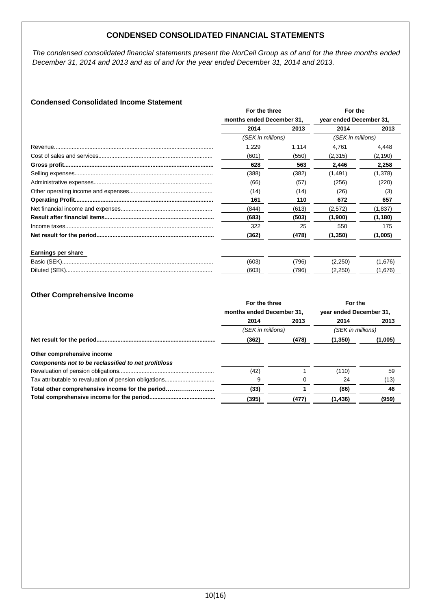# **CONDENSED CONSOLIDATED FINANCIAL STATEMENTS**

*The condensed consolidated financial statements present the NorCell Group as of and for the three months ended December 31, 2014 and 2013 and as of and for the year ended December 31, 2014 and 2013.*

# **Condensed Consolidated Income Statement**

|                           | For the three     |                           | For the           |                         |
|---------------------------|-------------------|---------------------------|-------------------|-------------------------|
|                           |                   | months ended December 31, |                   | year ended December 31, |
|                           | 2014              | 2013                      | 2014              | 2013                    |
|                           | (SEK in millions) |                           | (SEK in millions) |                         |
|                           | 1,229             | 1,114                     | 4.761             | 4,448                   |
|                           | (601)             | (550)                     | (2,315)           | (2, 190)                |
|                           | 628               | 563                       | 2,446             | 2,258                   |
|                           | (388)             | (382)                     | (1, 491)          | (1,378)                 |
|                           | (66)              | (57)                      | (256)             | (220)                   |
|                           | (14)              | (14)                      | (26)              | (3)                     |
|                           | 161               | 110                       | 672               | 657                     |
|                           | (844)             | (613)                     | (2,572)           | (1,837)                 |
|                           | (683)             | (503)                     | (1,900)           | (1, 180)                |
|                           | 322               | 25                        | 550               | 175                     |
|                           | (362)             | (478)                     | (1, 350)          | (1,005)                 |
| <b>Earnings per share</b> |                   |                           |                   |                         |
|                           | (603)             | (796)                     | (2,250)           | (1,676)                 |
|                           | (603)             | (796)                     | (2,250)           | (1,676)                 |

# **Other Comprehensive Income**

|                                                      | For the three     |                           | For the  |                         |  |
|------------------------------------------------------|-------------------|---------------------------|----------|-------------------------|--|
|                                                      |                   | months ended December 31, |          | year ended December 31, |  |
|                                                      | 2014              | 2013                      | 2014     | 2013                    |  |
|                                                      | (SEK in millions) |                           |          | (SEK in millions)       |  |
|                                                      | (362)             | (478)                     | (1,350)  | (1,005)                 |  |
| Other comprehensive income                           |                   |                           |          |                         |  |
| Components not to be reclassified to net profit/loss |                   |                           |          |                         |  |
|                                                      | (42)              |                           | (110)    | 59                      |  |
|                                                      | 9                 |                           | 24       | (13)                    |  |
| Total other comprehensive income for the period      | (33)              |                           | (86)     | 46                      |  |
|                                                      | (395)             | (477)                     | (1, 436) | (959)                   |  |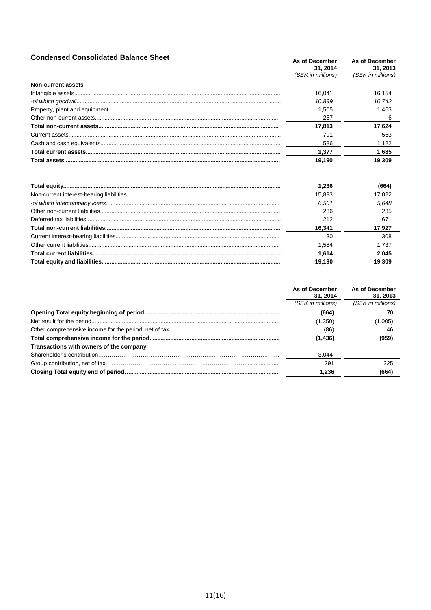| <b>Condensed Consolidated Balance Sheet</b> | As of December<br>31.2014 | As of December<br>31.2013 |
|---------------------------------------------|---------------------------|---------------------------|
|                                             | (SEK in millions)         | (SEK in millions)         |
| Non-current assets                          |                           |                           |
|                                             | 16.041                    | 16.154                    |
|                                             | 10.899                    | 10.742                    |
|                                             | 1.505                     | 1.463                     |
|                                             | 267                       | 6                         |
|                                             | 17.813                    | 17,624                    |
|                                             | 791                       | 563                       |
|                                             | 586                       | 1.122                     |
|                                             | 1.377                     | 1.685                     |
|                                             | 19,190                    | 19,309                    |
|                                             |                           |                           |

| 1.236  | (664)  |
|--------|--------|
| 15.893 | 17.022 |
| 6.501  | 5.648  |
| 236    | 235    |
| 212    | 671    |
| 16.341 | 17.927 |
| 30     | 308    |
| 1.584  | 1,737  |
| 1.614  | 2,045  |
| 19.190 | 19,309 |
|        |        |

| (SEK in millions)<br>(664)<br>(1,350)   | As of December<br>31, 2014 | As of December<br>31, 2013 |
|-----------------------------------------|----------------------------|----------------------------|
|                                         |                            | (SEK in millions)          |
|                                         |                            | 70                         |
|                                         |                            | (1,005)                    |
|                                         | (86)                       | 46                         |
| (1, 436)                                |                            | (959)                      |
| Transactions with owners of the company |                            |                            |
| 3.044                                   |                            |                            |
| 291                                     |                            | 225                        |
| 1.236                                   |                            | (664)                      |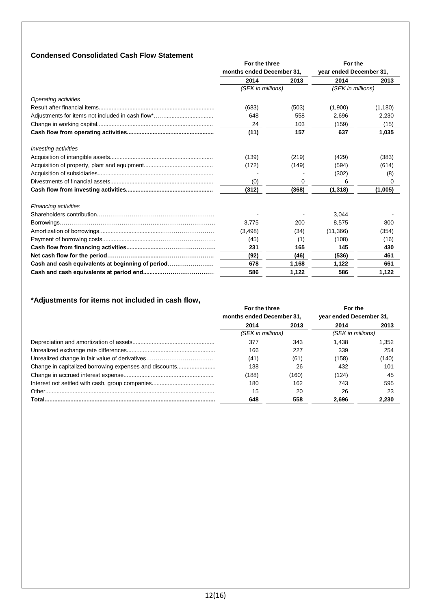# **Condensed Consolidated Cash Flow Statement**

|                                                  | For the three<br>months ended December 31, |       | For the<br>year ended December 31, |          |
|--------------------------------------------------|--------------------------------------------|-------|------------------------------------|----------|
|                                                  |                                            |       |                                    |          |
|                                                  | 2014                                       | 2013  | 2014                               | 2013     |
|                                                  | (SEK in millions)                          |       | (SEK in millions)                  |          |
| Operating activities                             |                                            |       |                                    |          |
|                                                  | (683)                                      | (503) | (1,900)                            | (1, 180) |
|                                                  | 648                                        | 558   | 2,696                              | 2,230    |
|                                                  | 24                                         | 103   | (159)                              | (15)     |
|                                                  | (11)                                       | 157   | 637                                | 1,035    |
| <b>Investing activities</b>                      |                                            |       |                                    |          |
|                                                  | (139)                                      | (219) | (429)                              | (383)    |
|                                                  | (172)                                      | (149) | (594)                              | (614)    |
|                                                  |                                            |       | (302)                              | (8)      |
|                                                  | (0)                                        | 0     | 6                                  | 0        |
|                                                  | (312)                                      | (368) | (1, 318)                           | (1,005)  |
| <b>Financing activities</b>                      |                                            |       |                                    |          |
|                                                  |                                            |       | 3.044                              |          |
|                                                  | 3.775                                      | 200   | 8.575                              | 800      |
|                                                  | (3, 498)                                   | (34)  | (11,366)                           | (354)    |
|                                                  | (45)                                       | (1)   | (108)                              | (16)     |
|                                                  | 231                                        | 165   | 145                                | 430      |
|                                                  | (92)                                       | (46)  | (536)                              | 461      |
| Cash and cash equivalents at beginning of period | 678                                        | 1,168 | 1,122                              | 661      |
|                                                  | 586                                        | 1,122 | 586                                | 1,122    |

# **\*Adjustments for items not included in cash flow,**

|                                                        | For the three             |       | For the                 |       |
|--------------------------------------------------------|---------------------------|-------|-------------------------|-------|
|                                                        | months ended December 31, |       | year ended December 31, |       |
|                                                        | 2014                      | 2013  | 2014                    | 2013  |
|                                                        | (SEK in millions)         |       | (SEK in millions)       |       |
|                                                        | 377                       | 343   | 1.438                   | 1.352 |
|                                                        | 166                       | 227   | 339                     | 254   |
| Unrealized change in fair value of derivatives         | (41)                      | (61)  | (158)                   | (140) |
| Change in capitalized borrowing expenses and discounts | 138                       | 26    | 432                     | 101   |
|                                                        | (188)                     | (160) | (124)                   | 45    |
|                                                        | 180                       | 162   | 743                     | 595   |
|                                                        | 15                        | 20    | 26                      | 23    |
|                                                        | 648                       | 558   | 2.696                   | 2.230 |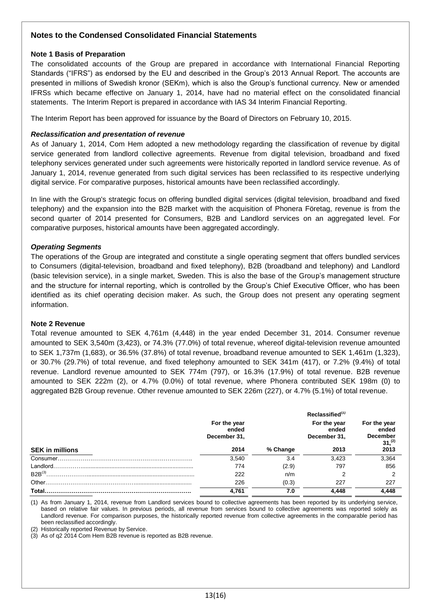# **Notes to the Condensed Consolidated Financial Statements**

#### **Note 1 Basis of Preparation**

The consolidated accounts of the Group are prepared in accordance with International Financial Reporting Standards ("IFRS") as endorsed by the EU and described in the Group's 2013 Annual Report. The accounts are presented in millions of Swedish kronor (SEKm), which is also the Group's functional currency. New or amended IFRSs which became effective on January 1, 2014, have had no material effect on the consolidated financial statements. The Interim Report is prepared in accordance with IAS 34 Interim Financial Reporting.

The Interim Report has been approved for issuance by the Board of Directors on February 10, 2015.

### *Reclassification and presentation of revenue*

As of January 1, 2014, Com Hem adopted a new methodology regarding the classification of revenue by digital service generated from landlord collective agreements. Revenue from digital television, broadband and fixed telephony services generated under such agreements were historically reported in landlord service revenue. As of January 1, 2014, revenue generated from such digital services has been reclassified to its respective underlying digital service. For comparative purposes, historical amounts have been reclassified accordingly.

In line with the Group's strategic focus on offering bundled digital services (digital television, broadband and fixed telephony) and the expansion into the B2B market with the acquisition of Phonera Företag, revenue is from the second quarter of 2014 presented for Consumers, B2B and Landlord services on an aggregated level. For comparative purposes, historical amounts have been aggregated accordingly.

# *Operating Segments*

The operations of the Group are integrated and constitute a single operating segment that offers bundled services to Consumers (digital-television, broadband and fixed telephony), B2B (broadband and telephony) and Landlord (basic television service), in a single market, Sweden. This is also the base of the Group's management structure and the structure for internal reporting, which is controlled by the Group's Chief Executive Officer, who has been identified as its chief operating decision maker. As such, the Group does not present any operating segment information.

#### **Note 2 Revenue**

Total revenue amounted to SEK 4,761m (4,448) in the year ended December 31, 2014. Consumer revenue amounted to SEK 3,540m (3,423), or 74.3% (77.0%) of total revenue, whereof digital-television revenue amounted to SEK 1,737m (1,683), or 36.5% (37.8%) of total revenue, broadband revenue amounted to SEK 1,461m (1,323), or 30.7% (29.7%) of total revenue, and fixed telephony amounted to SEK 341m (417), or 7.2% (9.4%) of total revenue. Landlord revenue amounted to SEK 774m (797), or 16.3% (17.9%) of total revenue. B2B revenue amounted to SEK 222m (2), or 4.7% (0.0%) of total revenue, where Phonera contributed SEK 198m (0) to aggregated B2B Group revenue. Other revenue amounted to SEK 226m (227), or 4.7% (5.1%) of total revenue.

|                        | For the year<br>ended<br>December 31, |          | Reclassified <sup>(1)</sup><br>For the year<br>ended<br>December 31, | For the year<br>ended<br><b>December</b><br>$31,$ <sup>(2)</sup> |
|------------------------|---------------------------------------|----------|----------------------------------------------------------------------|------------------------------------------------------------------|
| <b>SEK in millions</b> | 2014                                  | % Change | 2013                                                                 | 2013                                                             |
|                        | 3.540                                 | 3.4      | 3.423                                                                | 3,364                                                            |
|                        | 774                                   | (2.9)    | 797                                                                  | 856                                                              |
| $B2B^{(3)}$            | 222                                   | n/m      | っ                                                                    | ◠                                                                |
|                        | 226                                   | (0.3)    | 227                                                                  | 227                                                              |
| Total.                 | 4.761                                 | 7.0      | 4.448                                                                | 4.448                                                            |

(1) As from January 1, 2014, revenue from Landlord services bound to collective agreements has been reported by its underlying service, based on relative fair values. In previous periods, all revenue from services bound to collective agreements was reported solely as Landlord revenue. For comparison purposes, the historically reported revenue from collective agreements in the comparable period has been reclassified accordingly.

(2) Historically reported Revenue by Service.

(3) As of q2 2014 Com Hem B2B revenue is reported as B2B revenue.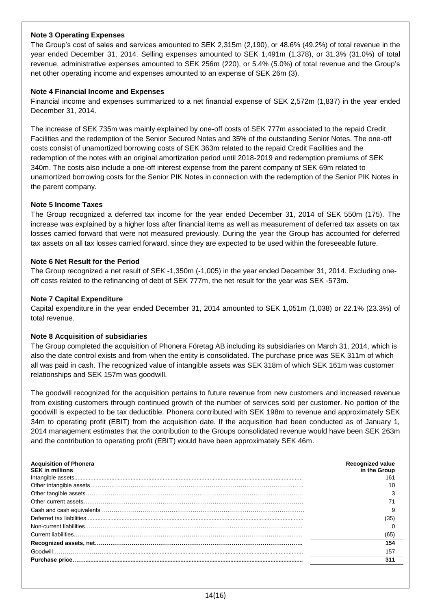# **Note 3 Operating Expenses**

The Group's cost of sales and services amounted to SEK 2,315m (2,190), or 48.6% (49.2%) of total revenue in the year ended December 31, 2014. Selling expenses amounted to SEK 1,491m (1,378), or 31.3% (31.0%) of total revenue, administrative expenses amounted to SEK 256m (220), or 5.4% (5.0%) of total revenue and the Group's net other operating income and expenses amounted to an expense of SEK 26m (3).

#### **Note 4 Financial Income and Expenses**

Financial income and expenses summarized to a net financial expense of SEK 2,572m (1,837) in the year ended December 31, 2014.

The increase of SEK 735m was mainly explained by one-off costs of SEK 777m associated to the repaid Credit Facilities and the redemption of the Senior Secured Notes and 35% of the outstanding Senior Notes. The one-off costs consist of unamortized borrowing costs of SEK 363m related to the repaid Credit Facilities and the redemption of the notes with an original amortization period until 2018-2019 and redemption premiums of SEK 340m. The costs also include a one-off interest expense from the parent company of SEK 69m related to unamortized borrowing costs for the Senior PIK Notes in connection with the redemption of the Senior PIK Notes in the parent company.

# **Note 5 Income Taxes**

The Group recognized a deferred tax income for the year ended December 31, 2014 of SEK 550m (175). The increase was explained by a higher loss after financial items as well as measurement of deferred tax assets on tax losses carried forward that were not measured previously. During the year the Group has accounted for deferred tax assets on all tax losses carried forward, since they are expected to be used within the foreseeable future.

# **Note 6 Net Result for the Period**

The Group recognized a net result of SEK -1,350m (-1,005) in the year ended December 31, 2014. Excluding oneoff costs related to the refinancing of debt of SEK 777m, the net result for the year was SEK -573m.

# **Note 7 Capital Expenditure**

Capital expenditure in the year ended December 31, 2014 amounted to SEK 1,051m (1,038) or 22.1% (23.3%) of total revenue.

#### **Note 8 Acquisition of subsidiaries**

The Group completed the acquisition of Phonera Företag AB including its subsidiaries on March 31, 2014, which is also the date control exists and from when the entity is consolidated. The purchase price was SEK 311m of which all was paid in cash. The recognized value of intangible assets was SEK 318m of which SEK 161m was customer relationships and SEK 157m was goodwill.

The goodwill recognized for the acquisition pertains to future revenue from new customers and increased revenue from existing customers through continued growth of the number of services sold per customer. No portion of the goodwill is expected to be tax deductible. Phonera contributed with SEK 198m to revenue and approximately SEK 34m to operating profit (EBIT) from the acquisition date. If the acquisition had been conducted as of January 1, 2014 management estimates that the contribution to the Groups consolidated revenue would have been SEK 263m and the contribution to operating profit (EBIT) would have been approximately SEK 46m.

| <b>Acquisition of Phonera</b><br><b>SEK in millions</b> | <b>Recognized value</b><br>in the Group |
|---------------------------------------------------------|-----------------------------------------|
|                                                         | 161                                     |
|                                                         | 10                                      |
|                                                         |                                         |
|                                                         |                                         |
|                                                         |                                         |
|                                                         | (35)                                    |
|                                                         |                                         |
|                                                         | (65)                                    |
|                                                         | 154                                     |
|                                                         | 157                                     |
|                                                         | 311                                     |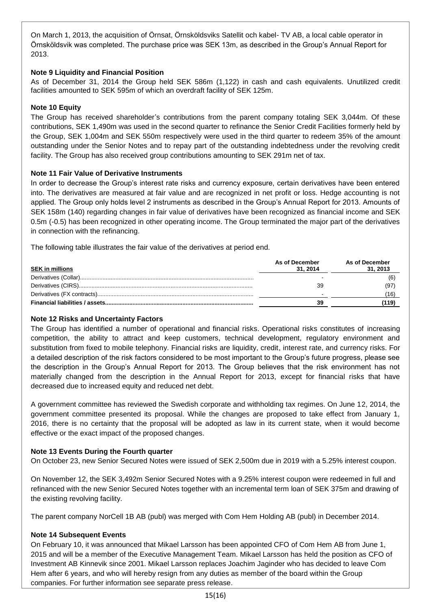On March 1, 2013, the acquisition of Örnsat, Örnsköldsviks Satellit och kabel- TV AB, a local cable operator in Örnsköldsvik was completed. The purchase price was SEK 13m, as described in the Group's Annual Report for 2013.

# **Note 9 Liquidity and Financial Position**

As of December 31, 2014 the Group held SEK 586m (1,122) in cash and cash equivalents. Unutilized credit facilities amounted to SEK 595m of which an overdraft facility of SEK 125m.

# **Note 10 Equity**

The Group has received shareholder's contributions from the parent company totaling SEK 3,044m. Of these contributions, SEK 1,490m was used in the second quarter to refinance the Senior Credit Facilities formerly held by the Group, SEK 1,004m and SEK 550m respectively were used in the third quarter to redeem 35% of the amount outstanding under the Senior Notes and to repay part of the outstanding indebtedness under the revolving credit facility. The Group has also received group contributions amounting to SEK 291m net of tax.

# **Note 11 Fair Value of Derivative Instruments**

In order to decrease the Group's interest rate risks and currency exposure, certain derivatives have been entered into. The derivatives are measured at fair value and are recognized in net profit or loss. Hedge accounting is not applied. The Group only holds level 2 instruments as described in the Group's Annual Report for 2013. Amounts of SEK 158m (140) regarding changes in fair value of derivatives have been recognized as financial income and SEK 0.5m (-0.5) has been recognized in other operating income. The Group terminated the major part of the derivatives in connection with the refinancing.

The following table illustrates the fair value of the derivatives at period end.

| <b>SEK in millions</b> | As of December<br>31.2014 | As of December<br>31, 2013 |
|------------------------|---------------------------|----------------------------|
|                        |                           |                            |
|                        | 39                        | (97                        |
|                        |                           |                            |
|                        | 39                        |                            |

#### **Note 12 Risks and Uncertainty Factors**

The Group has identified a number of operational and financial risks. Operational risks constitutes of increasing competition, the ability to attract and keep customers, technical development, regulatory environment and substitution from fixed to mobile telephony. Financial risks are liquidity, credit, interest rate, and currency risks. For a detailed description of the risk factors considered to be most important to the Group's future progress, please see the description in the Group's Annual Report for 2013. The Group believes that the risk environment has not materially changed from the description in the Annual Report for 2013, except for financial risks that have decreased due to increased equity and reduced net debt.

A government committee has reviewed the Swedish corporate and withholding tax regimes. On June 12, 2014, the government committee presented its proposal. While the changes are proposed to take effect from January 1, 2016, there is no certainty that the proposal will be adopted as law in its current state, when it would become effective or the exact impact of the proposed changes.

#### **Note 13 Events During the Fourth quarter**

On October 23, new Senior Secured Notes were issued of SEK 2,500m due in 2019 with a 5.25% interest coupon.

On November 12, the SEK 3,492m Senior Secured Notes with a 9.25% interest coupon were redeemed in full and refinanced with the new Senior Secured Notes together with an incremental term loan of SEK 375m and drawing of the existing revolving facility.

The parent company NorCell 1B AB (publ) was merged with Com Hem Holding AB (publ) in December 2014.

#### **Note 14 Subsequent Events**

On February 10, it was announced that Mikael Larsson has been appointed CFO of Com Hem AB from June 1, 2015 and will be a member of the Executive Management Team. Mikael Larsson has held the position as CFO of Investment AB Kinnevik since 2001. Mikael Larsson replaces Joachim Jaginder who has decided to leave Com Hem after 6 years, and who will hereby resign from any duties as member of the board within the Group companies. For further information see separate press release.